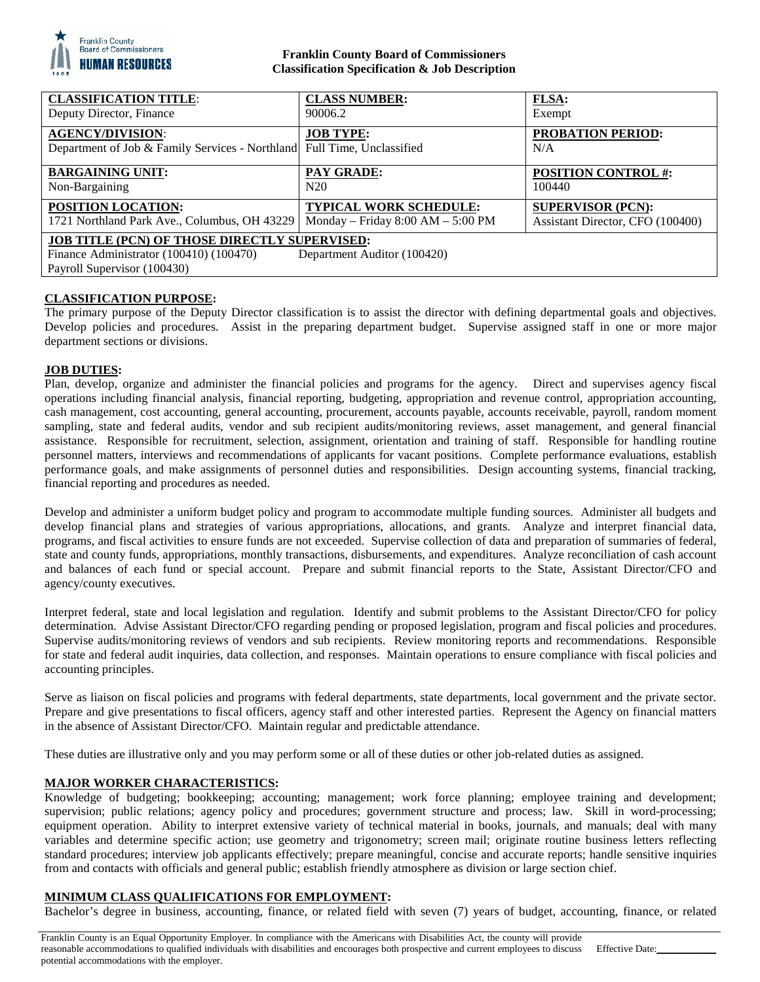

# **Franklin County Board of Commissioners Classification Specification & Job Description**

| <b>CLASSIFICATION TITLE:</b>                                                                                                                                  | <b>CLASS NUMBER:</b>                | <b>FLSA:</b>                     |
|---------------------------------------------------------------------------------------------------------------------------------------------------------------|-------------------------------------|----------------------------------|
| Deputy Director, Finance                                                                                                                                      | 90006.2                             | Exempt                           |
| <b>AGENCY/DIVISION:</b><br>Department of Job & Family Services - Northland Full Time, Unclassified                                                            | <b>JOB TYPE:</b>                    | <b>PROBATION PERIOD:</b><br>N/A  |
| <b>BARGAINING UNIT:</b>                                                                                                                                       | <b>PAY GRADE:</b>                   | <b>POSITION CONTROL #:</b>       |
| Non-Bargaining                                                                                                                                                | N <sub>20</sub>                     | 100440                           |
| <b>POSITION LOCATION:</b>                                                                                                                                     | <b>TYPICAL WORK SCHEDULE:</b>       | <b>SUPERVISOR (PCN):</b>         |
| 1721 Northland Park Ave., Columbus, OH 43229                                                                                                                  | Monday – Friday $8:00 AM - 5:00 PM$ | Assistant Director, CFO (100400) |
| <b>JOB TITLE (PCN) OF THOSE DIRECTLY SUPERVISED:</b><br>Finance Administrator (100410) (100470)<br>Department Auditor (100420)<br>Payroll Supervisor (100430) |                                     |                                  |

## **CLASSIFICATION PURPOSE:**

The primary purpose of the Deputy Director classification is to assist the director with defining departmental goals and objectives. Develop policies and procedures. Assist in the preparing department budget. Supervise assigned staff in one or more major department sections or divisions.

## **JOB DUTIES:**

Plan, develop, organize and administer the financial policies and programs for the agency. Direct and supervises agency fiscal operations including financial analysis, financial reporting, budgeting, appropriation and revenue control, appropriation accounting, cash management, cost accounting, general accounting, procurement, accounts payable, accounts receivable, payroll, random moment sampling, state and federal audits, vendor and sub recipient audits/monitoring reviews, asset management, and general financial assistance. Responsible for recruitment, selection, assignment, orientation and training of staff. Responsible for handling routine personnel matters, interviews and recommendations of applicants for vacant positions. Complete performance evaluations, establish performance goals, and make assignments of personnel duties and responsibilities. Design accounting systems, financial tracking, financial reporting and procedures as needed.

Develop and administer a uniform budget policy and program to accommodate multiple funding sources. Administer all budgets and develop financial plans and strategies of various appropriations, allocations, and grants. Analyze and interpret financial data, programs, and fiscal activities to ensure funds are not exceeded. Supervise collection of data and preparation of summaries of federal, state and county funds, appropriations, monthly transactions, disbursements, and expenditures. Analyze reconciliation of cash account and balances of each fund or special account. Prepare and submit financial reports to the State, Assistant Director/CFO and agency/county executives.

Interpret federal, state and local legislation and regulation. Identify and submit problems to the Assistant Director/CFO for policy determination. Advise Assistant Director/CFO regarding pending or proposed legislation, program and fiscal policies and procedures. Supervise audits/monitoring reviews of vendors and sub recipients. Review monitoring reports and recommendations. Responsible for state and federal audit inquiries, data collection, and responses. Maintain operations to ensure compliance with fiscal policies and accounting principles.

Serve as liaison on fiscal policies and programs with federal departments, state departments, local government and the private sector. Prepare and give presentations to fiscal officers, agency staff and other interested parties. Represent the Agency on financial matters in the absence of Assistant Director/CFO. Maintain regular and predictable attendance.

These duties are illustrative only and you may perform some or all of these duties or other job-related duties as assigned.

# **MAJOR WORKER CHARACTERISTICS:**

Knowledge of budgeting; bookkeeping; accounting; management; work force planning; employee training and development; supervision; public relations; agency policy and procedures; government structure and process; law. Skill in word-processing; equipment operation. Ability to interpret extensive variety of technical material in books, journals, and manuals; deal with many variables and determine specific action; use geometry and trigonometry; screen mail; originate routine business letters reflecting standard procedures; interview job applicants effectively; prepare meaningful, concise and accurate reports; handle sensitive inquiries from and contacts with officials and general public; establish friendly atmosphere as division or large section chief.

## **MINIMUM CLASS QUALIFICATIONS FOR EMPLOYMENT:**

Bachelor's degree in business, accounting, finance, or related field with seven (7) years of budget, accounting, finance, or related